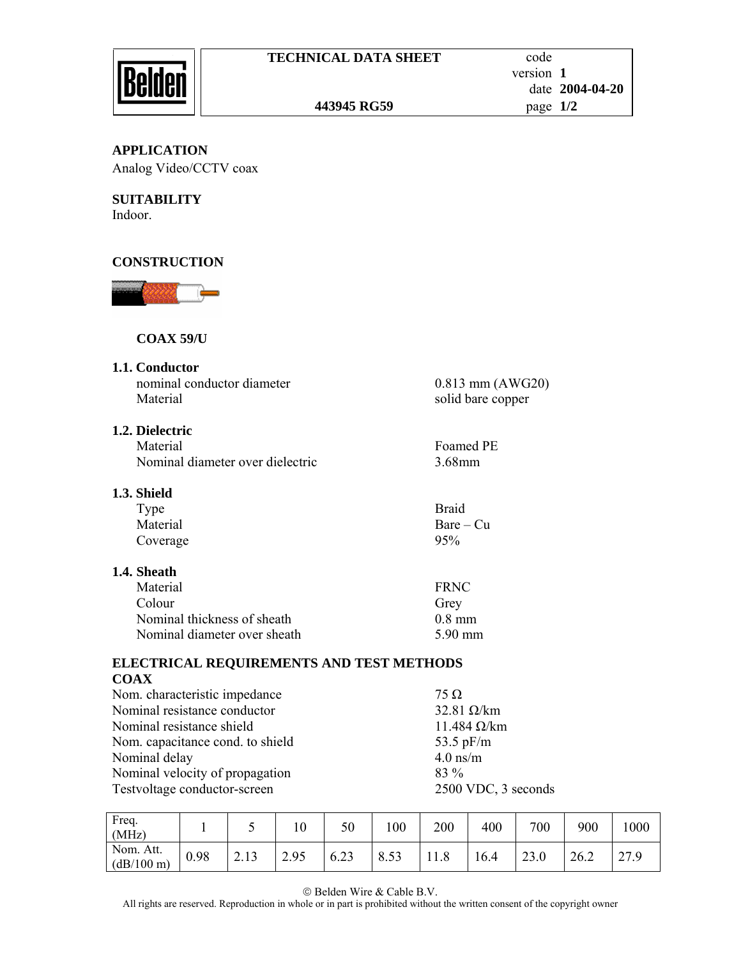

## **443945 RG59** page **1/2**

**APPLICATION**  Analog Video/CCTV coax

**SUITABILITY**  Indoor.

# **CONSTRUCTION**



## **COAX 59/U**

**1.1. Conductor** 

nominal conductor diameter 0.813 mm (AWG20) Material solid bare copper

## **1.2. Dielectric**

Material Foamed PE Nominal diameter over dielectric 3.68mm

## **1.3. Shield**

| Type     | <b>Braid</b> |
|----------|--------------|
| Material | $Bare - Cu$  |
| Coverage | 95%          |

#### **1.4. Sheath**

| Material                     | <b>FRNC</b> |
|------------------------------|-------------|
| Colour                       | Grey        |
| Nominal thickness of sheath  | $0.8$ mm    |
| Nominal diameter over sheath | 5.90 mm     |

#### **ELECTRICAL REQUIREMENTS AND TEST METHODS COAX**

Nom. characteristic impedance 75  $\Omega$ Nominal resistance conductor 32.81 Ω/km Nominal resistance shield 11.484 Ω/km Nom. capacitance cond. to shield 53.5 pF/m Nominal delay 4.0 ns/m<br>Nominal velocity of propagation 83 % Nominal velocity of propagation Testvoltage conductor-screen 2500 VDC, 3 seconds

| Freq.<br>(MHz)          |      |      | 10   | 50   | 00   | 200 | 400  | 700  | 900  | 000  |
|-------------------------|------|------|------|------|------|-----|------|------|------|------|
| Nom. Att.<br>(dB/100 m) | 0.98 | 2.13 | 2.95 | 6.23 | 8.53 |     | 16.4 | 23.0 | 26.2 | 27.9 |

© Belden Wire & Cable B.V.

All rights are reserved. Reproduction in whole or in part is prohibited without the written consent of the copyright owner